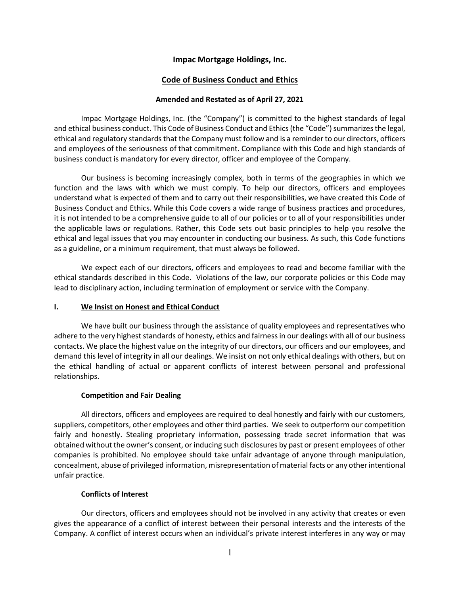## Impac Mortgage Holdings, Inc.

# Code of Business Conduct and Ethics

## Amended and Restated as of April 27, 2021

Impac Mortgage Holdings, Inc. (the "Company") is committed to the highest standards of legal and ethical business conduct. This Code of Business Conduct and Ethics (the "Code") summarizes the legal, ethical and regulatory standards that the Company must follow and is a reminder to our directors, officers and employees of the seriousness of that commitment. Compliance with this Code and high standards of business conduct is mandatory for every director, officer and employee of the Company.

Our business is becoming increasingly complex, both in terms of the geographies in which we function and the laws with which we must comply. To help our directors, officers and employees understand what is expected of them and to carry out their responsibilities, we have created this Code of Business Conduct and Ethics. While this Code covers a wide range of business practices and procedures, it is not intended to be a comprehensive guide to all of our policies or to all of your responsibilities under the applicable laws or regulations. Rather, this Code sets out basic principles to help you resolve the ethical and legal issues that you may encounter in conducting our business. As such, this Code functions as a guideline, or a minimum requirement, that must always be followed.

We expect each of our directors, officers and employees to read and become familiar with the ethical standards described in this Code. Violations of the law, our corporate policies or this Code may lead to disciplinary action, including termination of employment or service with the Company.

## I. We Insist on Honest and Ethical Conduct

We have built our business through the assistance of quality employees and representatives who adhere to the very highest standards of honesty, ethics and fairness in our dealings with all of our business contacts. We place the highest value on the integrity of our directors, our officers and our employees, and demand this level of integrity in all our dealings. We insist on not only ethical dealings with others, but on the ethical handling of actual or apparent conflicts of interest between personal and professional relationships.

## Competition and Fair Dealing

All directors, officers and employees are required to deal honestly and fairly with our customers, suppliers, competitors, other employees and other third parties. We seek to outperform our competition fairly and honestly. Stealing proprietary information, possessing trade secret information that was obtained without the owner's consent, or inducing such disclosures by past or present employees of other companies is prohibited. No employee should take unfair advantage of anyone through manipulation, concealment, abuse of privileged information, misrepresentation of material facts or any other intentional unfair practice.

## Conflicts of Interest

Our directors, officers and employees should not be involved in any activity that creates or even gives the appearance of a conflict of interest between their personal interests and the interests of the Company. A conflict of interest occurs when an individual's private interest interferes in any way or may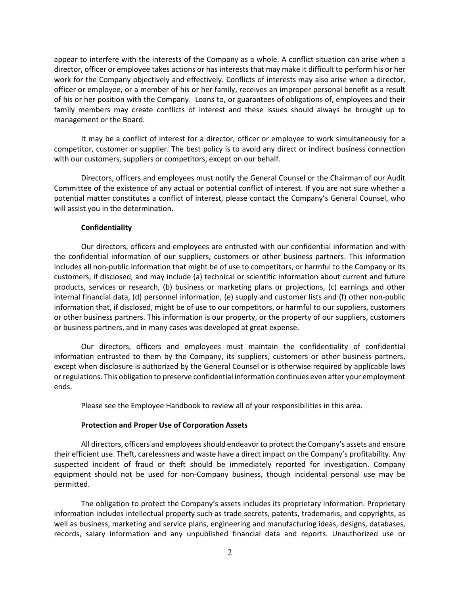appear to interfere with the interests of the Company as a whole. A conflict situation can arise when a director, officer or employee takes actions or has interests that may make it difficult to perform his or her work for the Company objectively and effectively. Conflicts of interests may also arise when a director, officer or employee, or a member of his or her family, receives an improper personal benefit as a result of his or her position with the Company. Loans to, or guarantees of obligations of, employees and their family members may create conflicts of interest and these issues should always be brought up to management or the Board.

It may be a conflict of interest for a director, officer or employee to work simultaneously for a competitor, customer or supplier. The best policy is to avoid any direct or indirect business connection with our customers, suppliers or competitors, except on our behalf.

Directors, officers and employees must notify the General Counsel or the Chairman of our Audit Committee of the existence of any actual or potential conflict of interest. If you are not sure whether a potential matter constitutes a conflict of interest, please contact the Company's General Counsel, who will assist you in the determination.

#### **Confidentiality**

Our directors, officers and employees are entrusted with our confidential information and with the confidential information of our suppliers, customers or other business partners. This information includes all non-public information that might be of use to competitors, or harmful to the Company or its customers, if disclosed, and may include (a) technical or scientific information about current and future products, services or research, (b) business or marketing plans or projections, (c) earnings and other internal financial data, (d) personnel information, (e) supply and customer lists and (f) other non-public information that, if disclosed, might be of use to our competitors, or harmful to our suppliers, customers or other business partners. This information is our property, or the property of our suppliers, customers or business partners, and in many cases was developed at great expense.

Our directors, officers and employees must maintain the confidentiality of confidential information entrusted to them by the Company, its suppliers, customers or other business partners, except when disclosure is authorized by the General Counsel or is otherwise required by applicable laws or regulations. This obligation to preserve confidential information continues even after your employment ends.

Please see the Employee Handbook to review all of your responsibilities in this area.

#### Protection and Proper Use of Corporation Assets

All directors, officers and employees should endeavor to protect the Company's assets and ensure their efficient use. Theft, carelessness and waste have a direct impact on the Company's profitability. Any suspected incident of fraud or theft should be immediately reported for investigation. Company equipment should not be used for non-Company business, though incidental personal use may be permitted.

The obligation to protect the Company's assets includes its proprietary information. Proprietary information includes intellectual property such as trade secrets, patents, trademarks, and copyrights, as well as business, marketing and service plans, engineering and manufacturing ideas, designs, databases, records, salary information and any unpublished financial data and reports. Unauthorized use or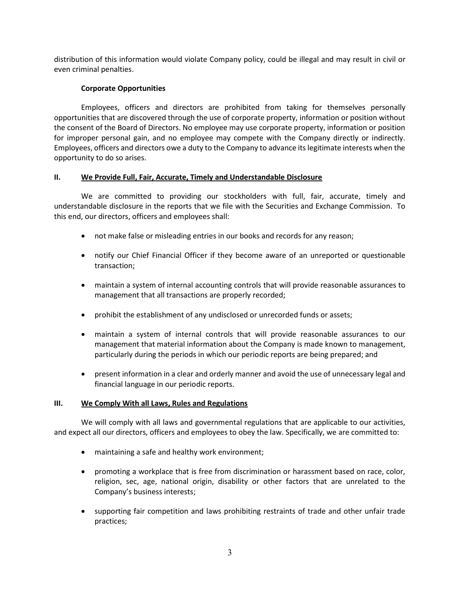distribution of this information would violate Company policy, could be illegal and may result in civil or even criminal penalties.

## Corporate Opportunities

Employees, officers and directors are prohibited from taking for themselves personally opportunities that are discovered through the use of corporate property, information or position without the consent of the Board of Directors. No employee may use corporate property, information or position for improper personal gain, and no employee may compete with the Company directly or indirectly. Employees, officers and directors owe a duty to the Company to advance its legitimate interests when the opportunity to do so arises.

## II. We Provide Full, Fair, Accurate, Timely and Understandable Disclosure

We are committed to providing our stockholders with full, fair, accurate, timely and understandable disclosure in the reports that we file with the Securities and Exchange Commission. To this end, our directors, officers and employees shall:

- not make false or misleading entries in our books and records for any reason;
- notify our Chief Financial Officer if they become aware of an unreported or questionable transaction;
- maintain a system of internal accounting controls that will provide reasonable assurances to management that all transactions are properly recorded;
- prohibit the establishment of any undisclosed or unrecorded funds or assets;
- maintain a system of internal controls that will provide reasonable assurances to our management that material information about the Company is made known to management, particularly during the periods in which our periodic reports are being prepared; and
- present information in a clear and orderly manner and avoid the use of unnecessary legal and financial language in our periodic reports.

# III. We Comply With all Laws, Rules and Regulations

We will comply with all laws and governmental regulations that are applicable to our activities, and expect all our directors, officers and employees to obey the law. Specifically, we are committed to:

- maintaining a safe and healthy work environment;
- promoting a workplace that is free from discrimination or harassment based on race, color, religion, sec, age, national origin, disability or other factors that are unrelated to the Company's business interests;
- supporting fair competition and laws prohibiting restraints of trade and other unfair trade practices;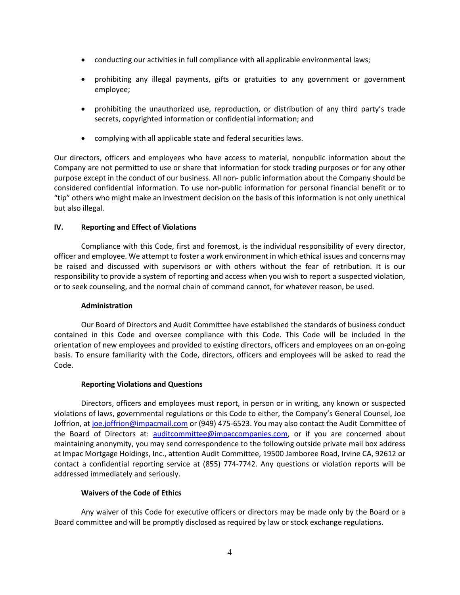- conducting our activities in full compliance with all applicable environmental laws;
- prohibiting any illegal payments, gifts or gratuities to any government or government employee;
- prohibiting the unauthorized use, reproduction, or distribution of any third party's trade secrets, copyrighted information or confidential information; and
- complying with all applicable state and federal securities laws.

Our directors, officers and employees who have access to material, nonpublic information about the Company are not permitted to use or share that information for stock trading purposes or for any other purpose except in the conduct of our business. All non- public information about the Company should be considered confidential information. To use non-public information for personal financial benefit or to "tip" others who might make an investment decision on the basis of this information is not only unethical but also illegal.

## IV. Reporting and Effect of Violations

Compliance with this Code, first and foremost, is the individual responsibility of every director, officer and employee. We attempt to foster a work environment in which ethical issues and concerns may be raised and discussed with supervisors or with others without the fear of retribution. It is our responsibility to provide a system of reporting and access when you wish to report a suspected violation, or to seek counseling, and the normal chain of command cannot, for whatever reason, be used.

## Administration

Our Board of Directors and Audit Committee have established the standards of business conduct contained in this Code and oversee compliance with this Code. This Code will be included in the orientation of new employees and provided to existing directors, officers and employees on an on-going basis. To ensure familiarity with the Code, directors, officers and employees will be asked to read the Code.

## Reporting Violations and Questions

Directors, officers and employees must report, in person or in writing, any known or suspected violations of laws, governmental regulations or this Code to either, the Company's General Counsel, Joe Joffrion, at joe.joffrion@impacmail.com or (949) 475-6523. You may also contact the Audit Committee of the Board of Directors at: auditcommittee@impaccompanies.com, or if you are concerned about maintaining anonymity, you may send correspondence to the following outside private mail box address at Impac Mortgage Holdings, Inc., attention Audit Committee, 19500 Jamboree Road, Irvine CA, 92612 or contact a confidential reporting service at (855) 774-7742. Any questions or violation reports will be addressed immediately and seriously.

## Waivers of the Code of Ethics

Any waiver of this Code for executive officers or directors may be made only by the Board or a Board committee and will be promptly disclosed as required by law or stock exchange regulations.